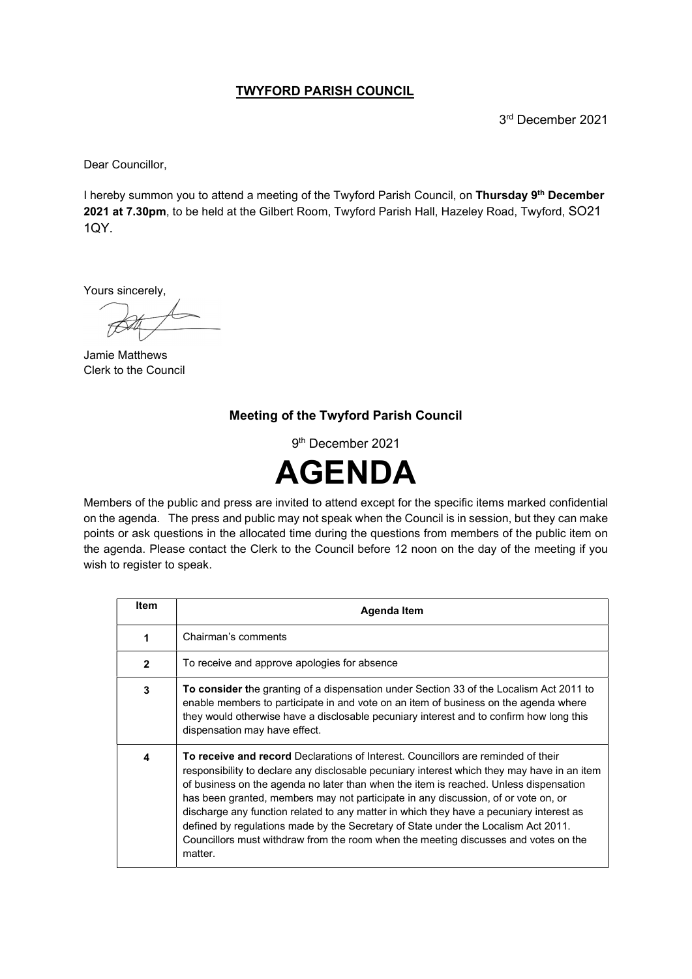## TWYFORD PARISH COUNCIL

3 rd December 2021

Dear Councillor,

I hereby summon you to attend a meeting of the Twyford Parish Council, on Thursday 9<sup>th</sup> December 2021 at 7.30pm, to be held at the Gilbert Room, Twyford Parish Hall, Hazeley Road, Twyford, SO21 1QY.

Yours sincerely,

Jamie Matthews Clerk to the Council

## Meeting of the Twyford Parish Council

9 th December 2021



Members of the public and press are invited to attend except for the specific items marked confidential on the agenda. The press and public may not speak when the Council is in session, but they can make points or ask questions in the allocated time during the questions from members of the public item on the agenda. Please contact the Clerk to the Council before 12 noon on the day of the meeting if you wish to register to speak.

| <b>Item</b>  | Agenda Item                                                                                                                                                                                                                                                                                                                                                                                                                                                                                                                                                                                                                                               |
|--------------|-----------------------------------------------------------------------------------------------------------------------------------------------------------------------------------------------------------------------------------------------------------------------------------------------------------------------------------------------------------------------------------------------------------------------------------------------------------------------------------------------------------------------------------------------------------------------------------------------------------------------------------------------------------|
| 1            | Chairman's comments                                                                                                                                                                                                                                                                                                                                                                                                                                                                                                                                                                                                                                       |
| $\mathbf{2}$ | To receive and approve apologies for absence                                                                                                                                                                                                                                                                                                                                                                                                                                                                                                                                                                                                              |
| 3            | To consider the granting of a dispensation under Section 33 of the Localism Act 2011 to<br>enable members to participate in and vote on an item of business on the agenda where<br>they would otherwise have a disclosable pecuniary interest and to confirm how long this<br>dispensation may have effect.                                                                                                                                                                                                                                                                                                                                               |
| 4            | <b>To receive and record</b> Declarations of Interest. Councillors are reminded of their<br>responsibility to declare any disclosable pecuniary interest which they may have in an item<br>of business on the agenda no later than when the item is reached. Unless dispensation<br>has been granted, members may not participate in any discussion, of or vote on, or<br>discharge any function related to any matter in which they have a pecuniary interest as<br>defined by regulations made by the Secretary of State under the Localism Act 2011.<br>Councillors must withdraw from the room when the meeting discusses and votes on the<br>matter. |